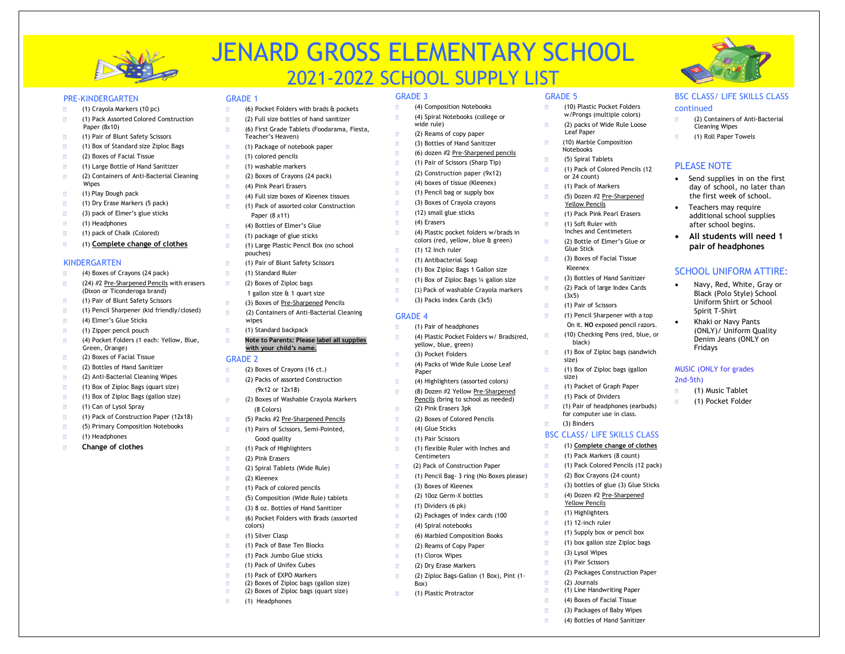

# JENARD GROSS ELEMENTARY SCHOOL 2021-2022 SCHOOL SUPPLY LIST

GRADE 3

# PRE-KINDERGARTEN

- (1) Crayola Markers (10 pc)
- (1) Pack Assorted Colored Construction Paper (8x10)
- (1) Pair of Blunt Safety Scissors
- (1) Box of Standard size Ziploc Bags
- (2) Boxes of Facial Tissue
- (1) Large Bottle of Hand Sanitizer
- (2) Containers of Anti-Bacterial Cleaning Wipes
- (1) Play Dough pack
- (1) Dry Erase Markers (5 pack)
- (3) pack of Elmer's glue sticks
- (1) Headphones
- (1) pack of Chalk (Colored)
- (1) **Complete change of clothes**

# KINDERGARTEN

- (4) Boxes of Crayons (24 pack)
- (24) #2 Pre-Sharpened Pencils with erasers (Dixon or Ticonderoga brand)
- (1) Pair of Blunt Safety Scissors
- (1) Pencil Sharpener (kid friendly/closed)
- (4) Elmer's Glue Sticks
- (1) Zipper pencil pouch
- (4) Pocket Folders (1 each: Yellow, Blue, Green, Orange)
- (2) Boxes of Facial Tissue
- (2) Bottles of Hand Sanitizer
- (2) Anti-Bacterial Cleaning Wipes (1) Box of Ziploc Bags (quart size)
- (1) Box of Ziploc Bags (gallon size)
- (1) Can of Lysol Spray
- (1) Pack of Construction Paper (12x18)
- (5) Primary Composition Notebooks
- (1) Headphones
- **Change of clothes**

- (6) Pocket Folders with brads & pockets
- (2) Full size bottles of hand sanitizer
- (6) First Grade Tablets (Foodarama, Fiesta, Teacher's Heaven)
- (1) Package of notebook paper

GRADE 1

- (1) colored pencils
- (1) washable markers
- (2) Boxes of Crayons (24 pack)
- (4) Pink Pearl Erasers
- (4) Full size boxes of Kleenex tissues
- (1) Pack of assorted color Construction
- Paper (8 x11)
- (4) Bottles of Elmer's Glue
- (1) package of glue sticks
- (1) Large Plastic Pencil Box (no school pouches)
- (1) Pair of Blunt Safety Scissors
- (1) Standard Ruler
- (2) Boxes of Ziploc bags
- 1 gallon size & 1 quart size
- (3) Boxes of Pre-Sharpened Pencils
- (2) Containers of Anti-Bacterial Cleaning wipes
- (1) Standard backpack  $\sqrt{2}$
- **Note to Parents: Please label all supplies with your child's name.**

### GRADE 2

- (2) Boxes of Crayons (16 ct.)
- (2) Packs of assorted Construction (9x12 or 12x18)
- (2) Boxes of Washable Crayola Markers (8 Colors)
- (5) Packs #2 Pre-Sharpened Pencils
- (1) Pairs of Scissors, Semi-Pointed,
- Good quality
- (1) Pack of Highlighters
- (2) Pink Erasers
- (2) Spiral Tablets (Wide Rule)
- (2) Kleenex
- (1) Pack of colored pencils
- (5) Composition (Wide Rule) tablets (3) 8 oz. Bottles of Hand Sanitizer
- (6) Pocket Folders with Brads (assorted
- colors)
- (1) Silver Clasp (1) Pack of Base Ten Blocks
- (1) Pack Jumbo Glue sticks
- (1) Pack of Unifex Cubes
- (1) Pack of EXPO Markers
- (2) Boxes of Ziploc bags (gallon size)
- (2) Boxes of Ziploc bags (quart size)
- (1) Headphones

GRADE 5

Leaf Paper (10) Marble Composition

**Notebooks** (5) Spiral Tablets (1) Pack of Colored Pencils (12

or 24 count) (1) Pack of Markers (5) Dozen #2 Pre-Sharpened Yellow Pencils (1) Pack Pink Pearl Erasers (1) Soft Ruler with Inches and Centimeters (2) Bottle of Elmer's Glue or

Glue Stick

 $\sqrt{2}$  $\sqrt{2}$ 

 $\sqrt{2}$  $\sqrt{2}$  $\sqrt{2}$ 

 $\sqrt{2}$ 

 $\sqrt{2}$  $\sqrt{2}$  $\overline{P}$  $\triangleright$ 

 $\sqrt{2}$  $\overline{P}$ 

 $\sqrt{2}$ 

Kleenex

black)

size)

size)

(3) Binders

(3) Lysol Wipes (1) Pair Scissors

(2) Journals

(2) Packages Construction Paper

 (1) Line Handwriting Paper (4) Boxes of Facial Tissue (3) Packages of Baby Wipes (4) Bottles of Hand Sanitizer

(3x5)

(3) Boxes of Facial Tissue

(1) Pair of Scissors (1) Pencil Sharpener with a top On it. **NO** exposed pencil razors. (10) Checking Pens (red, blue, or

(3) Bottles of Hand Sanitizer (2) Pack of large Index Cards

(1) Box of Ziploc bags (sandwich

(1) Box of Ziploc bags (gallon

(1) Packet of Graph Paper (1) Pack of Dividers (1) Pair of headphones (earbuds) for computer use in class.

BSC CLASS/ LIFE SKILLS CLASS (1) **Complete change of clothes** (1) Pack Markers (8 count) (1) Pack Colored Pencils (12 pack) (2) Box Crayons (24 count) (3) bottles of glue (3) Glue Sticks (4) Dozen #2 Pre-Sharpened Yellow Pencils (1) Highlighters (1) 12-inch ruler (1) Supply box or pencil box (1) box gallon size Ziploc bags

(10) Plastic Pocket Folders w/Prongs (multiple colors) (2) packs of Wide Rule Loose BSC CLASS/ LIFE SKILLS CLASS

• Send supplies in on the first day of school, no later than the first week of school. Teachers may require additional school supplies after school begins. • **All students will need 1 pair of headphones**

SCHOOL UNIFORM ATTIRE: • Navy, Red, White, Gray or Black (Polo Style) School Uniform Shirt or School Spirit T-Shirt • Khaki or Navy Pants (ONLY)/ Uniform Quality Denim Jeans (ONLY on

 Cleaning Wipes (1) Roll Paper Towels

PI FASE NOTE

Fridays

2nd-5th)

MUSIC (ONLY for grades

(1) Music Tablet (1) Pocket Folder

(2) Containers of Anti-Bacterial

continued

- (4) Composition Notebooks (4) Spiral Notebooks (college or
- wide rule)
- (2) Reams of copy paper
- (3) Bottles of Hand Sanitizer
- (6) dozen #2 Pre-Sharpened pencils (1) Pair of Scissors (Sharp Tip)
- (2) Construction paper (9x12)
- (4) boxes of tissue (Kleenex)
- (1) Pencil bag or supply box
- (3) Boxes of Crayola crayons
- (12) small glue sticks
- (4) Erasers
- 
- (4) Plastic pocket folders w/brads in colors (red, yellow, blue & green) (1) 12 Inch ruler
- (1) Antibacterial Soap
- (1) Box Ziploc Bags 1 Gallon size
- (1) Box of Ziploc Bags ¼ gallon size
- (1) Pack of washable Crayola markers
- (3) Packs Index Cards (3x5)

(4) Plastic Pocket Folders w/ Brads(red,

(4) Packs of Wide Rule Loose Leaf

(4) Highlighters (assorted colors) (8) Dozen #2 Yellow Pre-Sharpened Pencils (bring to school as needed)

(1) flexible Ruler with Inches and

(2) Pack of Construction Paper (1) Pencil Bag- 3 ring (No Boxes please)

 (2) Packages of index cards (100 (4) Spiral notebooks (6) Marbled Composition Books (2) Reams of Copy Paper (1) Clorox Wipes (2) Dry Erase Markers

(2) Ziploc Bags-Gallon (1 Box), Pint (1-

## GRADE 4

Paper

(1) Pair of headphones yellow, blue, green)

(3) Pocket Folders

(2) Pink Erasers 3pk (2) Boxes of Colored Pencils (4) Glue Sticks (1) Pair Scissors

 (3) Boxes of Kleenex (2) 10oz Germ-X bottles (1) Dividers (6 pk)

(1) Plastic Protractor

**Centimeters** 

Box)